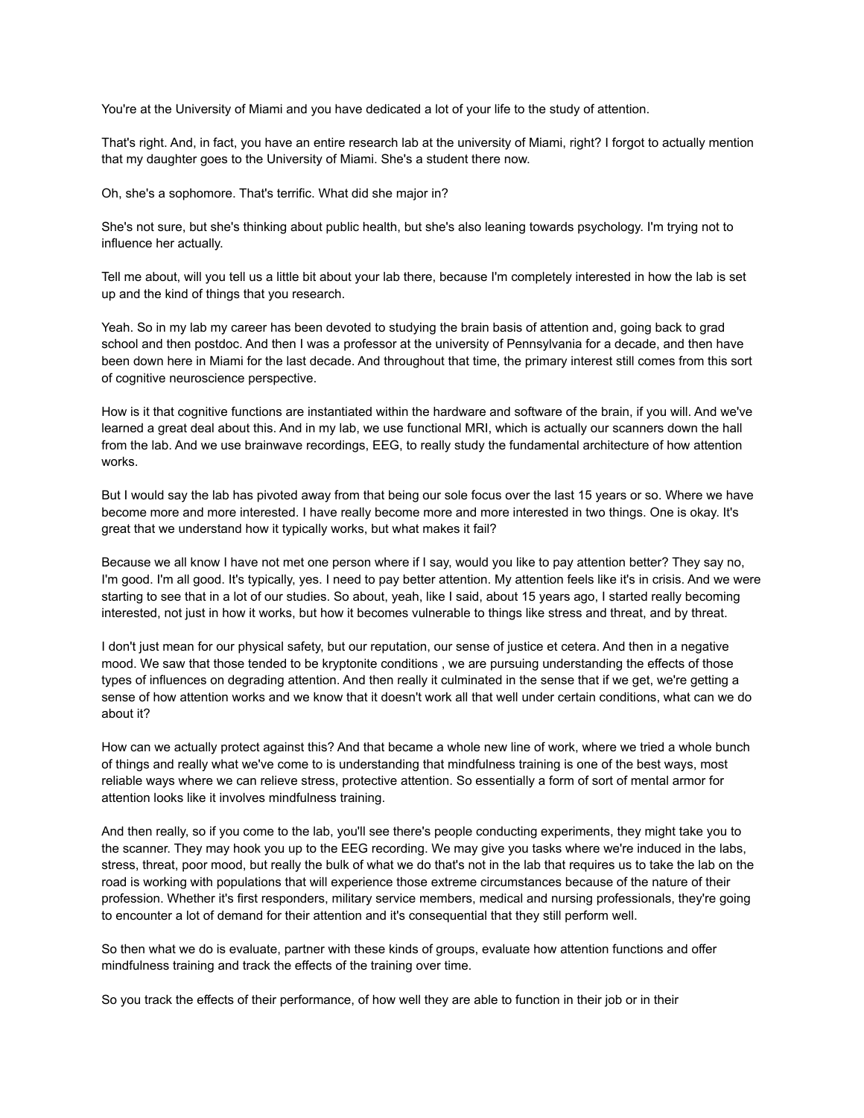You're at the University of Miami and you have dedicated a lot of your life to the study of attention.

That's right. And, in fact, you have an entire research lab at the university of Miami, right? I forgot to actually mention that my daughter goes to the University of Miami. She's a student there now.

Oh, she's a sophomore. That's terrific. What did she major in?

She's not sure, but she's thinking about public health, but she's also leaning towards psychology. I'm trying not to influence her actually.

Tell me about, will you tell us a little bit about your lab there, because I'm completely interested in how the lab is set up and the kind of things that you research.

Yeah. So in my lab my career has been devoted to studying the brain basis of attention and, going back to grad school and then postdoc. And then I was a professor at the university of Pennsylvania for a decade, and then have been down here in Miami for the last decade. And throughout that time, the primary interest still comes from this sort of cognitive neuroscience perspective.

How is it that cognitive functions are instantiated within the hardware and software of the brain, if you will. And we've learned a great deal about this. And in my lab, we use functional MRI, which is actually our scanners down the hall from the lab. And we use brainwave recordings, EEG, to really study the fundamental architecture of how attention works.

But I would say the lab has pivoted away from that being our sole focus over the last 15 years or so. Where we have become more and more interested. I have really become more and more interested in two things. One is okay. It's great that we understand how it typically works, but what makes it fail?

Because we all know I have not met one person where if I say, would you like to pay attention better? They say no, I'm good. I'm all good. It's typically, yes. I need to pay better attention. My attention feels like it's in crisis. And we were starting to see that in a lot of our studies. So about, yeah, like I said, about 15 years ago, I started really becoming interested, not just in how it works, but how it becomes vulnerable to things like stress and threat, and by threat.

I don't just mean for our physical safety, but our reputation, our sense of justice et cetera. And then in a negative mood. We saw that those tended to be kryptonite conditions , we are pursuing understanding the effects of those types of influences on degrading attention. And then really it culminated in the sense that if we get, we're getting a sense of how attention works and we know that it doesn't work all that well under certain conditions, what can we do about it?

How can we actually protect against this? And that became a whole new line of work, where we tried a whole bunch of things and really what we've come to is understanding that mindfulness training is one of the best ways, most reliable ways where we can relieve stress, protective attention. So essentially a form of sort of mental armor for attention looks like it involves mindfulness training.

And then really, so if you come to the lab, you'll see there's people conducting experiments, they might take you to the scanner. They may hook you up to the EEG recording. We may give you tasks where we're induced in the labs, stress, threat, poor mood, but really the bulk of what we do that's not in the lab that requires us to take the lab on the road is working with populations that will experience those extreme circumstances because of the nature of their profession. Whether it's first responders, military service members, medical and nursing professionals, they're going to encounter a lot of demand for their attention and it's consequential that they still perform well.

So then what we do is evaluate, partner with these kinds of groups, evaluate how attention functions and offer mindfulness training and track the effects of the training over time.

So you track the effects of their performance, of how well they are able to function in their job or in their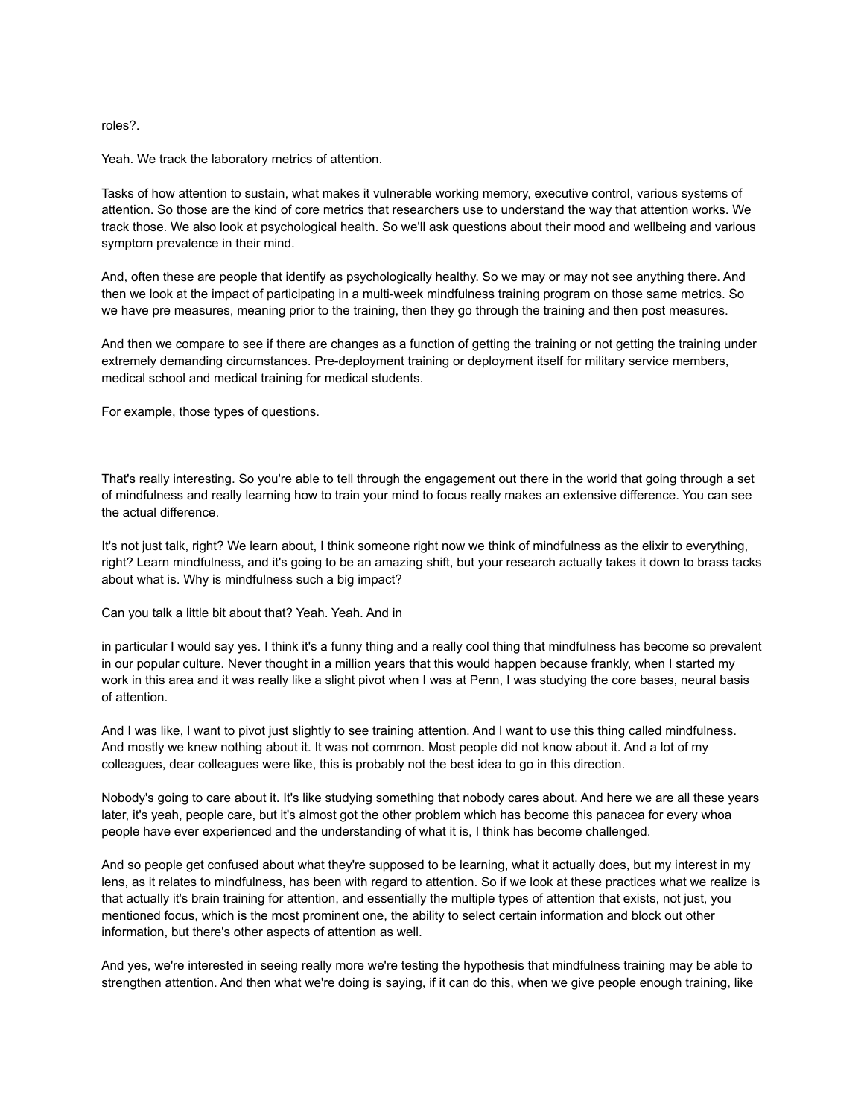## roles?.

Yeah. We track the laboratory metrics of attention.

Tasks of how attention to sustain, what makes it vulnerable working memory, executive control, various systems of attention. So those are the kind of core metrics that researchers use to understand the way that attention works. We track those. We also look at psychological health. So we'll ask questions about their mood and wellbeing and various symptom prevalence in their mind.

And, often these are people that identify as psychologically healthy. So we may or may not see anything there. And then we look at the impact of participating in a multi-week mindfulness training program on those same metrics. So we have pre measures, meaning prior to the training, then they go through the training and then post measures.

And then we compare to see if there are changes as a function of getting the training or not getting the training under extremely demanding circumstances. Pre-deployment training or deployment itself for military service members, medical school and medical training for medical students.

For example, those types of questions.

That's really interesting. So you're able to tell through the engagement out there in the world that going through a set of mindfulness and really learning how to train your mind to focus really makes an extensive difference. You can see the actual difference.

It's not just talk, right? We learn about, I think someone right now we think of mindfulness as the elixir to everything, right? Learn mindfulness, and it's going to be an amazing shift, but your research actually takes it down to brass tacks about what is. Why is mindfulness such a big impact?

Can you talk a little bit about that? Yeah. Yeah. And in

in particular I would say yes. I think it's a funny thing and a really cool thing that mindfulness has become so prevalent in our popular culture. Never thought in a million years that this would happen because frankly, when I started my work in this area and it was really like a slight pivot when I was at Penn, I was studying the core bases, neural basis of attention.

And I was like, I want to pivot just slightly to see training attention. And I want to use this thing called mindfulness. And mostly we knew nothing about it. It was not common. Most people did not know about it. And a lot of my colleagues, dear colleagues were like, this is probably not the best idea to go in this direction.

Nobody's going to care about it. It's like studying something that nobody cares about. And here we are all these years later, it's yeah, people care, but it's almost got the other problem which has become this panacea for every whoa people have ever experienced and the understanding of what it is, I think has become challenged.

And so people get confused about what they're supposed to be learning, what it actually does, but my interest in my lens, as it relates to mindfulness, has been with regard to attention. So if we look at these practices what we realize is that actually it's brain training for attention, and essentially the multiple types of attention that exists, not just, you mentioned focus, which is the most prominent one, the ability to select certain information and block out other information, but there's other aspects of attention as well.

And yes, we're interested in seeing really more we're testing the hypothesis that mindfulness training may be able to strengthen attention. And then what we're doing is saying, if it can do this, when we give people enough training, like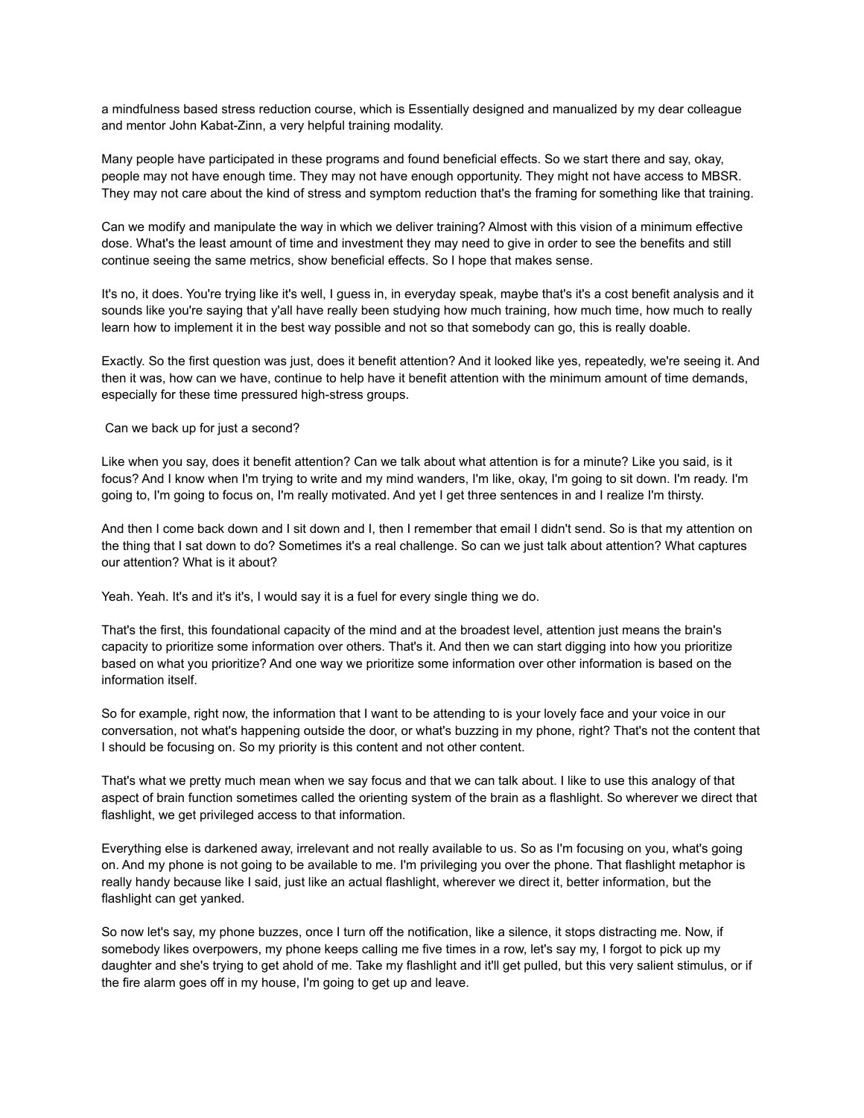a mindfulness based stress reduction course, which is Essentially designed and manualized by my dear colleague and mentor John Kabat-Zinn, a very helpful training modality.

Many people have participated in these programs and found beneficial effects. So we start there and say, okay, people may not have enough time. They may not have enough opportunity. They might not have access to MBSR. They may not care about the kind of stress and symptom reduction that's the framing for something like that training.

Can we modify and manipulate the way in which we deliver training? Almost with this vision of a minimum effective dose. What's the least amount of time and investment they may need to give in order to see the benefits and still continue seeing the same metrics, show beneficial effects. So I hope that makes sense.

It's no, it does. You're trying like it's well, I guess in, in everyday speak, maybe that's it's a cost benefit analysis and it sounds like you're saying that y'all have really been studying how much training, how much time, how much to really learn how to implement it in the best way possible and not so that somebody can go, this is really doable.

Exactly. So the first question was just, does it benefit attention? And it looked like yes, repeatedly, we're seeing it. And then it was, how can we have, continue to help have it benefit attention with the minimum amount of time demands, especially for these time pressured high-stress groups.

Can we back up for just a second?

Like when you say, does it benefit attention? Can we talk about what attention is for a minute? Like you said, is it focus? And I know when I'm trying to write and my mind wanders, I'm like, okay, I'm going to sit down. I'm ready. I'm going to, I'm going to focus on, I'm really motivated. And yet I get three sentences in and I realize I'm thirsty.

And then I come back down and I sit down and I, then I remember that email I didn't send. So is that my attention on the thing that I sat down to do? Sometimes it's a real challenge. So can we just talk about attention? What captures our attention? What is it about?

Yeah. Yeah. It's and it's it's, I would say it is a fuel for every single thing we do.

That's the first, this foundational capacity of the mind and at the broadest level, attention just means the brain's capacity to prioritize some information over others. That's it. And then we can start digging into how you prioritize based on what you prioritize? And one way we prioritize some information over other information is based on the information itself.

So for example, right now, the information that I want to be attending to is your lovely face and your voice in our conversation, not what's happening outside the door, or what's buzzing in my phone, right? That's not the content that I should be focusing on. So my priority is this content and not other content.

That's what we pretty much mean when we say focus and that we can talk about. I like to use this analogy of that aspect of brain function sometimes called the orienting system of the brain as a flashlight. So wherever we direct that flashlight, we get privileged access to that information.

Everything else is darkened away, irrelevant and not really available to us. So as I'm focusing on you, what's going on. And my phone is not going to be available to me. I'm privileging you over the phone. That flashlight metaphor is really handy because like I said, just like an actual flashlight, wherever we direct it, better information, but the flashlight can get yanked.

So now let's say, my phone buzzes, once I turn off the notification, like a silence, it stops distracting me. Now, if somebody likes overpowers, my phone keeps calling me five times in a row, let's say my, I forgot to pick up my daughter and she's trying to get ahold of me. Take my flashlight and it'll get pulled, but this very salient stimulus, or if the fire alarm goes off in my house, I'm going to get up and leave.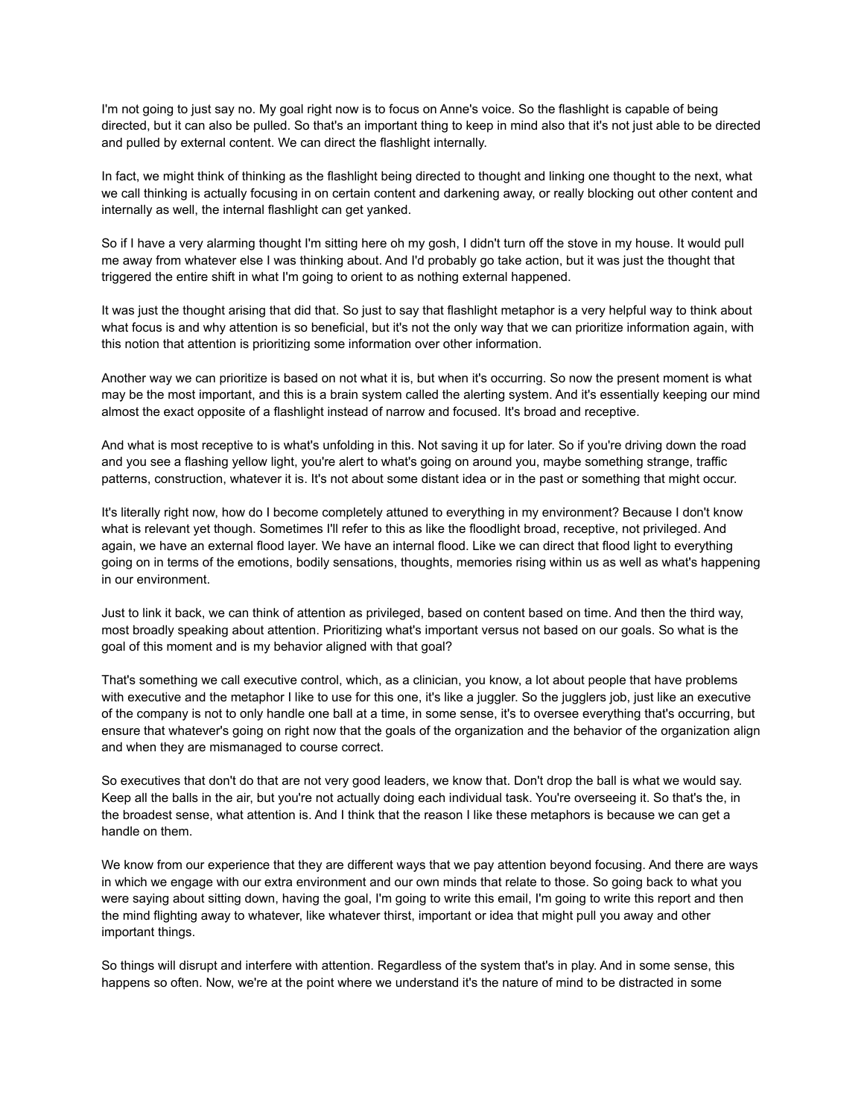I'm not going to just say no. My goal right now is to focus on Anne's voice. So the flashlight is capable of being directed, but it can also be pulled. So that's an important thing to keep in mind also that it's not just able to be directed and pulled by external content. We can direct the flashlight internally.

In fact, we might think of thinking as the flashlight being directed to thought and linking one thought to the next, what we call thinking is actually focusing in on certain content and darkening away, or really blocking out other content and internally as well, the internal flashlight can get yanked.

So if I have a very alarming thought I'm sitting here oh my gosh, I didn't turn off the stove in my house. It would pull me away from whatever else I was thinking about. And I'd probably go take action, but it was just the thought that triggered the entire shift in what I'm going to orient to as nothing external happened.

It was just the thought arising that did that. So just to say that flashlight metaphor is a very helpful way to think about what focus is and why attention is so beneficial, but it's not the only way that we can prioritize information again, with this notion that attention is prioritizing some information over other information.

Another way we can prioritize is based on not what it is, but when it's occurring. So now the present moment is what may be the most important, and this is a brain system called the alerting system. And it's essentially keeping our mind almost the exact opposite of a flashlight instead of narrow and focused. It's broad and receptive.

And what is most receptive to is what's unfolding in this. Not saving it up for later. So if you're driving down the road and you see a flashing yellow light, you're alert to what's going on around you, maybe something strange, traffic patterns, construction, whatever it is. It's not about some distant idea or in the past or something that might occur.

It's literally right now, how do I become completely attuned to everything in my environment? Because I don't know what is relevant yet though. Sometimes I'll refer to this as like the floodlight broad, receptive, not privileged. And again, we have an external flood layer. We have an internal flood. Like we can direct that flood light to everything going on in terms of the emotions, bodily sensations, thoughts, memories rising within us as well as what's happening in our environment.

Just to link it back, we can think of attention as privileged, based on content based on time. And then the third way, most broadly speaking about attention. Prioritizing what's important versus not based on our goals. So what is the goal of this moment and is my behavior aligned with that goal?

That's something we call executive control, which, as a clinician, you know, a lot about people that have problems with executive and the metaphor I like to use for this one, it's like a juggler. So the jugglers job, just like an executive of the company is not to only handle one ball at a time, in some sense, it's to oversee everything that's occurring, but ensure that whatever's going on right now that the goals of the organization and the behavior of the organization align and when they are mismanaged to course correct.

So executives that don't do that are not very good leaders, we know that. Don't drop the ball is what we would say. Keep all the balls in the air, but you're not actually doing each individual task. You're overseeing it. So that's the, in the broadest sense, what attention is. And I think that the reason I like these metaphors is because we can get a handle on them.

We know from our experience that they are different ways that we pay attention beyond focusing. And there are ways in which we engage with our extra environment and our own minds that relate to those. So going back to what you were saying about sitting down, having the goal, I'm going to write this email, I'm going to write this report and then the mind flighting away to whatever, like whatever thirst, important or idea that might pull you away and other important things.

So things will disrupt and interfere with attention. Regardless of the system that's in play. And in some sense, this happens so often. Now, we're at the point where we understand it's the nature of mind to be distracted in some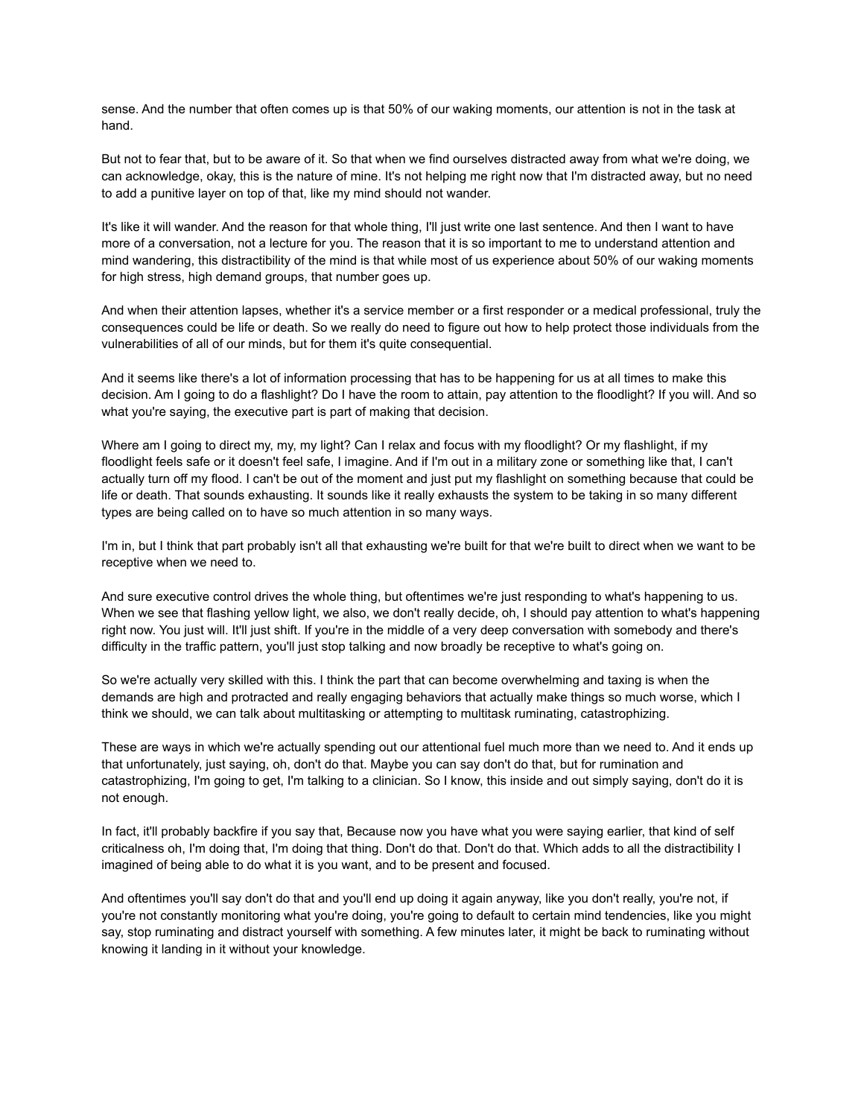sense. And the number that often comes up is that 50% of our waking moments, our attention is not in the task at hand.

But not to fear that, but to be aware of it. So that when we find ourselves distracted away from what we're doing, we can acknowledge, okay, this is the nature of mine. It's not helping me right now that I'm distracted away, but no need to add a punitive layer on top of that, like my mind should not wander.

It's like it will wander. And the reason for that whole thing, I'll just write one last sentence. And then I want to have more of a conversation, not a lecture for you. The reason that it is so important to me to understand attention and mind wandering, this distractibility of the mind is that while most of us experience about 50% of our waking moments for high stress, high demand groups, that number goes up.

And when their attention lapses, whether it's a service member or a first responder or a medical professional, truly the consequences could be life or death. So we really do need to figure out how to help protect those individuals from the vulnerabilities of all of our minds, but for them it's quite consequential.

And it seems like there's a lot of information processing that has to be happening for us at all times to make this decision. Am I going to do a flashlight? Do I have the room to attain, pay attention to the floodlight? If you will. And so what you're saying, the executive part is part of making that decision.

Where am I going to direct my, my, my light? Can I relax and focus with my floodlight? Or my flashlight, if my floodlight feels safe or it doesn't feel safe, I imagine. And if I'm out in a military zone or something like that, I can't actually turn off my flood. I can't be out of the moment and just put my flashlight on something because that could be life or death. That sounds exhausting. It sounds like it really exhausts the system to be taking in so many different types are being called on to have so much attention in so many ways.

I'm in, but I think that part probably isn't all that exhausting we're built for that we're built to direct when we want to be receptive when we need to.

And sure executive control drives the whole thing, but oftentimes we're just responding to what's happening to us. When we see that flashing yellow light, we also, we don't really decide, oh, I should pay attention to what's happening right now. You just will. It'll just shift. If you're in the middle of a very deep conversation with somebody and there's difficulty in the traffic pattern, you'll just stop talking and now broadly be receptive to what's going on.

So we're actually very skilled with this. I think the part that can become overwhelming and taxing is when the demands are high and protracted and really engaging behaviors that actually make things so much worse, which I think we should, we can talk about multitasking or attempting to multitask ruminating, catastrophizing.

These are ways in which we're actually spending out our attentional fuel much more than we need to. And it ends up that unfortunately, just saying, oh, don't do that. Maybe you can say don't do that, but for rumination and catastrophizing, I'm going to get, I'm talking to a clinician. So I know, this inside and out simply saying, don't do it is not enough.

In fact, it'll probably backfire if you say that, Because now you have what you were saying earlier, that kind of self criticalness oh, I'm doing that, I'm doing that thing. Don't do that. Don't do that. Which adds to all the distractibility I imagined of being able to do what it is you want, and to be present and focused.

And oftentimes you'll say don't do that and you'll end up doing it again anyway, like you don't really, you're not, if you're not constantly monitoring what you're doing, you're going to default to certain mind tendencies, like you might say, stop ruminating and distract yourself with something. A few minutes later, it might be back to ruminating without knowing it landing in it without your knowledge.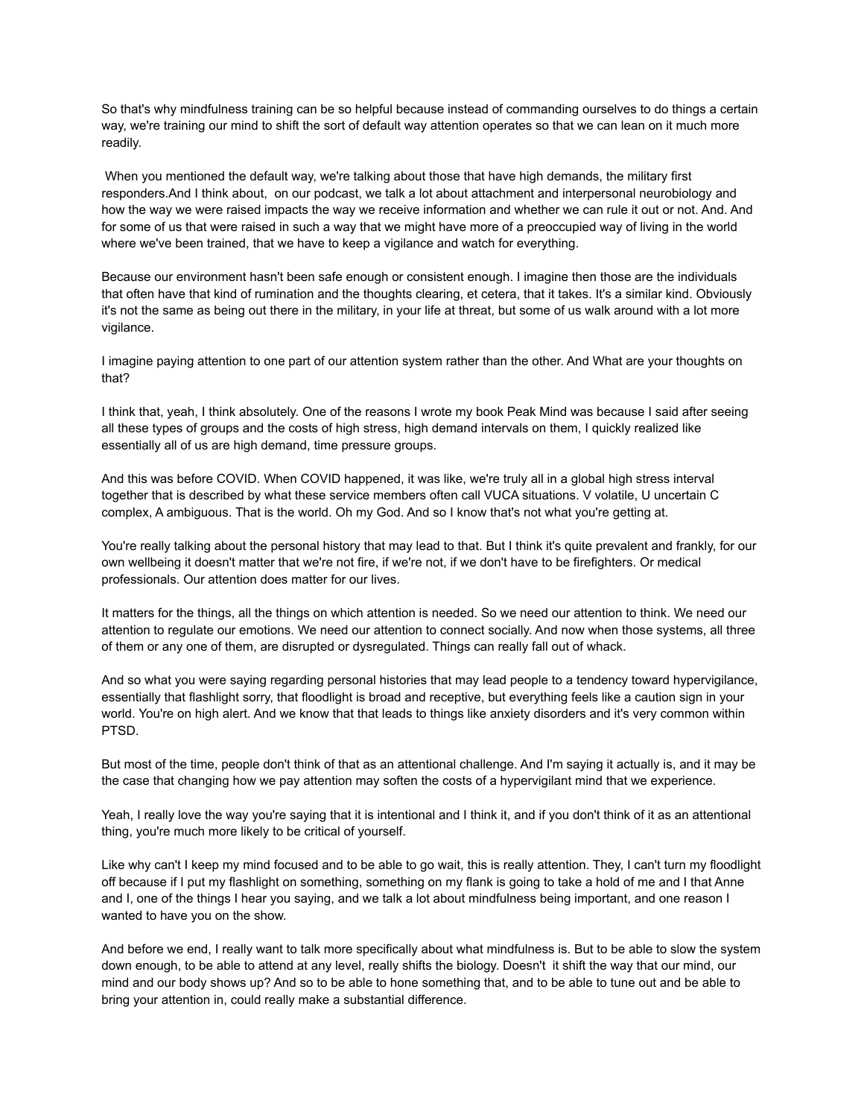So that's why mindfulness training can be so helpful because instead of commanding ourselves to do things a certain way, we're training our mind to shift the sort of default way attention operates so that we can lean on it much more readily.

When you mentioned the default way, we're talking about those that have high demands, the military first responders.And I think about, on our podcast, we talk a lot about attachment and interpersonal neurobiology and how the way we were raised impacts the way we receive information and whether we can rule it out or not. And. And for some of us that were raised in such a way that we might have more of a preoccupied way of living in the world where we've been trained, that we have to keep a vigilance and watch for everything.

Because our environment hasn't been safe enough or consistent enough. I imagine then those are the individuals that often have that kind of rumination and the thoughts clearing, et cetera, that it takes. It's a similar kind. Obviously it's not the same as being out there in the military, in your life at threat, but some of us walk around with a lot more vigilance.

I imagine paying attention to one part of our attention system rather than the other. And What are your thoughts on that?

I think that, yeah, I think absolutely. One of the reasons I wrote my book Peak Mind was because I said after seeing all these types of groups and the costs of high stress, high demand intervals on them, I quickly realized like essentially all of us are high demand, time pressure groups.

And this was before COVID. When COVID happened, it was like, we're truly all in a global high stress interval together that is described by what these service members often call VUCA situations. V volatile, U uncertain C complex, A ambiguous. That is the world. Oh my God. And so I know that's not what you're getting at.

You're really talking about the personal history that may lead to that. But I think it's quite prevalent and frankly, for our own wellbeing it doesn't matter that we're not fire, if we're not, if we don't have to be firefighters. Or medical professionals. Our attention does matter for our lives.

It matters for the things, all the things on which attention is needed. So we need our attention to think. We need our attention to regulate our emotions. We need our attention to connect socially. And now when those systems, all three of them or any one of them, are disrupted or dysregulated. Things can really fall out of whack.

And so what you were saying regarding personal histories that may lead people to a tendency toward hypervigilance, essentially that flashlight sorry, that floodlight is broad and receptive, but everything feels like a caution sign in your world. You're on high alert. And we know that that leads to things like anxiety disorders and it's very common within PTSD.

But most of the time, people don't think of that as an attentional challenge. And I'm saying it actually is, and it may be the case that changing how we pay attention may soften the costs of a hypervigilant mind that we experience.

Yeah, I really love the way you're saying that it is intentional and I think it, and if you don't think of it as an attentional thing, you're much more likely to be critical of yourself.

Like why can't I keep my mind focused and to be able to go wait, this is really attention. They, I can't turn my floodlight off because if I put my flashlight on something, something on my flank is going to take a hold of me and I that Anne and I, one of the things I hear you saying, and we talk a lot about mindfulness being important, and one reason I wanted to have you on the show.

And before we end, I really want to talk more specifically about what mindfulness is. But to be able to slow the system down enough, to be able to attend at any level, really shifts the biology. Doesn't it shift the way that our mind, our mind and our body shows up? And so to be able to hone something that, and to be able to tune out and be able to bring your attention in, could really make a substantial difference.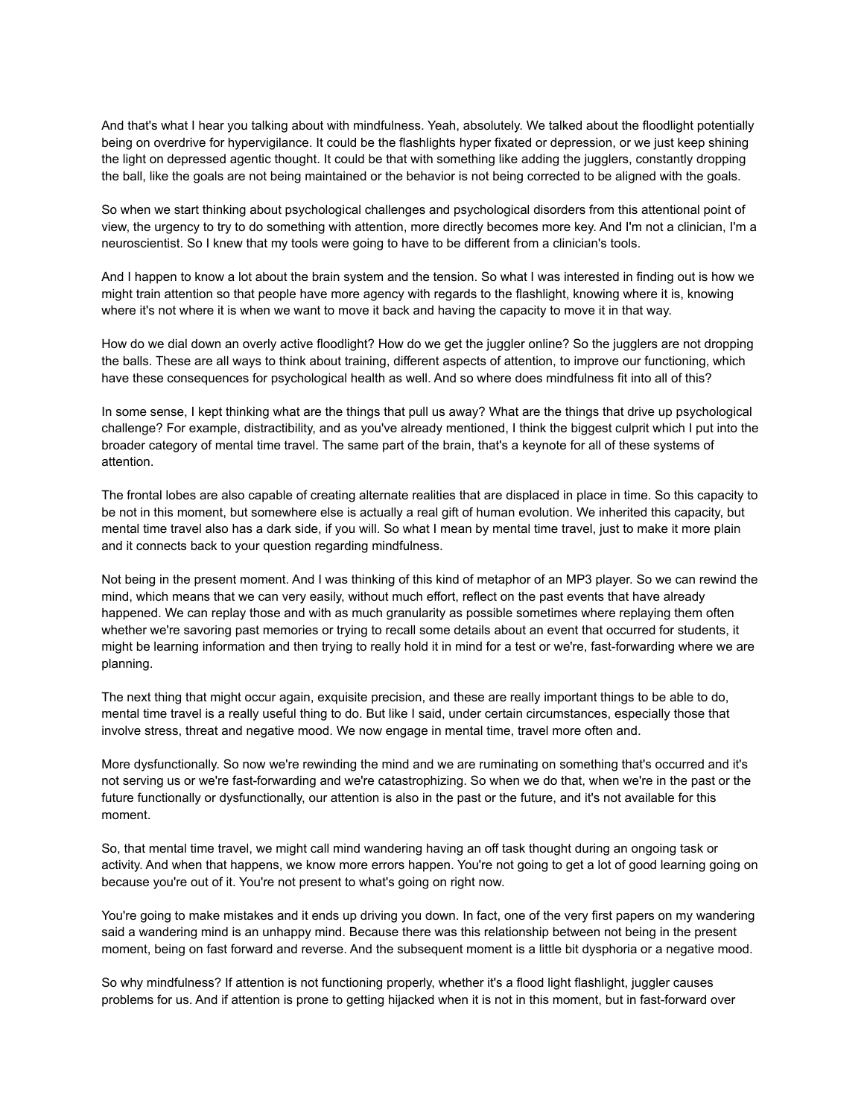And that's what I hear you talking about with mindfulness. Yeah, absolutely. We talked about the floodlight potentially being on overdrive for hypervigilance. It could be the flashlights hyper fixated or depression, or we just keep shining the light on depressed agentic thought. It could be that with something like adding the jugglers, constantly dropping the ball, like the goals are not being maintained or the behavior is not being corrected to be aligned with the goals.

So when we start thinking about psychological challenges and psychological disorders from this attentional point of view, the urgency to try to do something with attention, more directly becomes more key. And I'm not a clinician, I'm a neuroscientist. So I knew that my tools were going to have to be different from a clinician's tools.

And I happen to know a lot about the brain system and the tension. So what I was interested in finding out is how we might train attention so that people have more agency with regards to the flashlight, knowing where it is, knowing where it's not where it is when we want to move it back and having the capacity to move it in that way.

How do we dial down an overly active floodlight? How do we get the juggler online? So the jugglers are not dropping the balls. These are all ways to think about training, different aspects of attention, to improve our functioning, which have these consequences for psychological health as well. And so where does mindfulness fit into all of this?

In some sense, I kept thinking what are the things that pull us away? What are the things that drive up psychological challenge? For example, distractibility, and as you've already mentioned, I think the biggest culprit which I put into the broader category of mental time travel. The same part of the brain, that's a keynote for all of these systems of attention.

The frontal lobes are also capable of creating alternate realities that are displaced in place in time. So this capacity to be not in this moment, but somewhere else is actually a real gift of human evolution. We inherited this capacity, but mental time travel also has a dark side, if you will. So what I mean by mental time travel, just to make it more plain and it connects back to your question regarding mindfulness.

Not being in the present moment. And I was thinking of this kind of metaphor of an MP3 player. So we can rewind the mind, which means that we can very easily, without much effort, reflect on the past events that have already happened. We can replay those and with as much granularity as possible sometimes where replaying them often whether we're savoring past memories or trying to recall some details about an event that occurred for students, it might be learning information and then trying to really hold it in mind for a test or we're, fast-forwarding where we are planning.

The next thing that might occur again, exquisite precision, and these are really important things to be able to do, mental time travel is a really useful thing to do. But like I said, under certain circumstances, especially those that involve stress, threat and negative mood. We now engage in mental time, travel more often and.

More dysfunctionally. So now we're rewinding the mind and we are ruminating on something that's occurred and it's not serving us or we're fast-forwarding and we're catastrophizing. So when we do that, when we're in the past or the future functionally or dysfunctionally, our attention is also in the past or the future, and it's not available for this moment.

So, that mental time travel, we might call mind wandering having an off task thought during an ongoing task or activity. And when that happens, we know more errors happen. You're not going to get a lot of good learning going on because you're out of it. You're not present to what's going on right now.

You're going to make mistakes and it ends up driving you down. In fact, one of the very first papers on my wandering said a wandering mind is an unhappy mind. Because there was this relationship between not being in the present moment, being on fast forward and reverse. And the subsequent moment is a little bit dysphoria or a negative mood.

So why mindfulness? If attention is not functioning properly, whether it's a flood light flashlight, juggler causes problems for us. And if attention is prone to getting hijacked when it is not in this moment, but in fast-forward over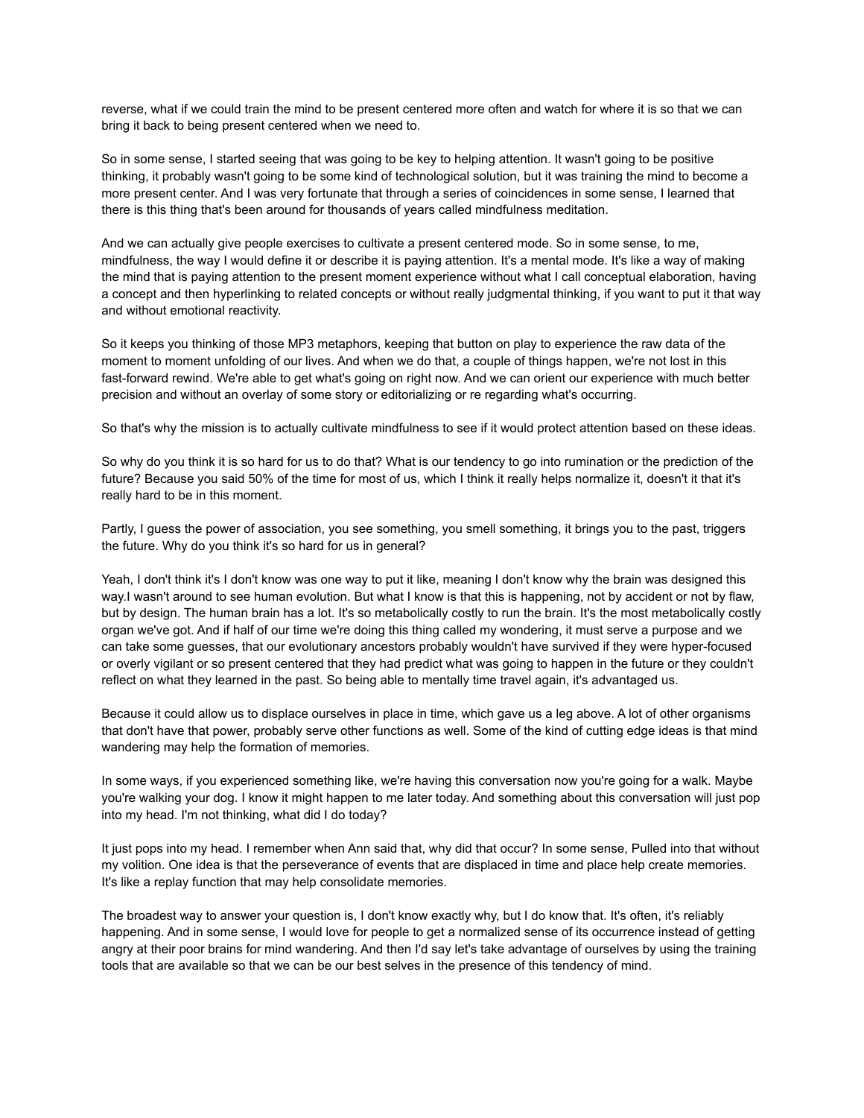reverse, what if we could train the mind to be present centered more often and watch for where it is so that we can bring it back to being present centered when we need to.

So in some sense, I started seeing that was going to be key to helping attention. It wasn't going to be positive thinking, it probably wasn't going to be some kind of technological solution, but it was training the mind to become a more present center. And I was very fortunate that through a series of coincidences in some sense, I learned that there is this thing that's been around for thousands of years called mindfulness meditation.

And we can actually give people exercises to cultivate a present centered mode. So in some sense, to me, mindfulness, the way I would define it or describe it is paying attention. It's a mental mode. It's like a way of making the mind that is paying attention to the present moment experience without what I call conceptual elaboration, having a concept and then hyperlinking to related concepts or without really judgmental thinking, if you want to put it that way and without emotional reactivity.

So it keeps you thinking of those MP3 metaphors, keeping that button on play to experience the raw data of the moment to moment unfolding of our lives. And when we do that, a couple of things happen, we're not lost in this fast-forward rewind. We're able to get what's going on right now. And we can orient our experience with much better precision and without an overlay of some story or editorializing or re regarding what's occurring.

So that's why the mission is to actually cultivate mindfulness to see if it would protect attention based on these ideas.

So why do you think it is so hard for us to do that? What is our tendency to go into rumination or the prediction of the future? Because you said 50% of the time for most of us, which I think it really helps normalize it, doesn't it that it's really hard to be in this moment.

Partly, I guess the power of association, you see something, you smell something, it brings you to the past, triggers the future. Why do you think it's so hard for us in general?

Yeah, I don't think it's I don't know was one way to put it like, meaning I don't know why the brain was designed this way.I wasn't around to see human evolution. But what I know is that this is happening, not by accident or not by flaw, but by design. The human brain has a lot. It's so metabolically costly to run the brain. It's the most metabolically costly organ we've got. And if half of our time we're doing this thing called my wondering, it must serve a purpose and we can take some guesses, that our evolutionary ancestors probably wouldn't have survived if they were hyper-focused or overly vigilant or so present centered that they had predict what was going to happen in the future or they couldn't reflect on what they learned in the past. So being able to mentally time travel again, it's advantaged us.

Because it could allow us to displace ourselves in place in time, which gave us a leg above. A lot of other organisms that don't have that power, probably serve other functions as well. Some of the kind of cutting edge ideas is that mind wandering may help the formation of memories.

In some ways, if you experienced something like, we're having this conversation now you're going for a walk. Maybe you're walking your dog. I know it might happen to me later today. And something about this conversation will just pop into my head. I'm not thinking, what did I do today?

It just pops into my head. I remember when Ann said that, why did that occur? In some sense, Pulled into that without my volition. One idea is that the perseverance of events that are displaced in time and place help create memories. It's like a replay function that may help consolidate memories.

The broadest way to answer your question is, I don't know exactly why, but I do know that. It's often, it's reliably happening. And in some sense, I would love for people to get a normalized sense of its occurrence instead of getting angry at their poor brains for mind wandering. And then I'd say let's take advantage of ourselves by using the training tools that are available so that we can be our best selves in the presence of this tendency of mind.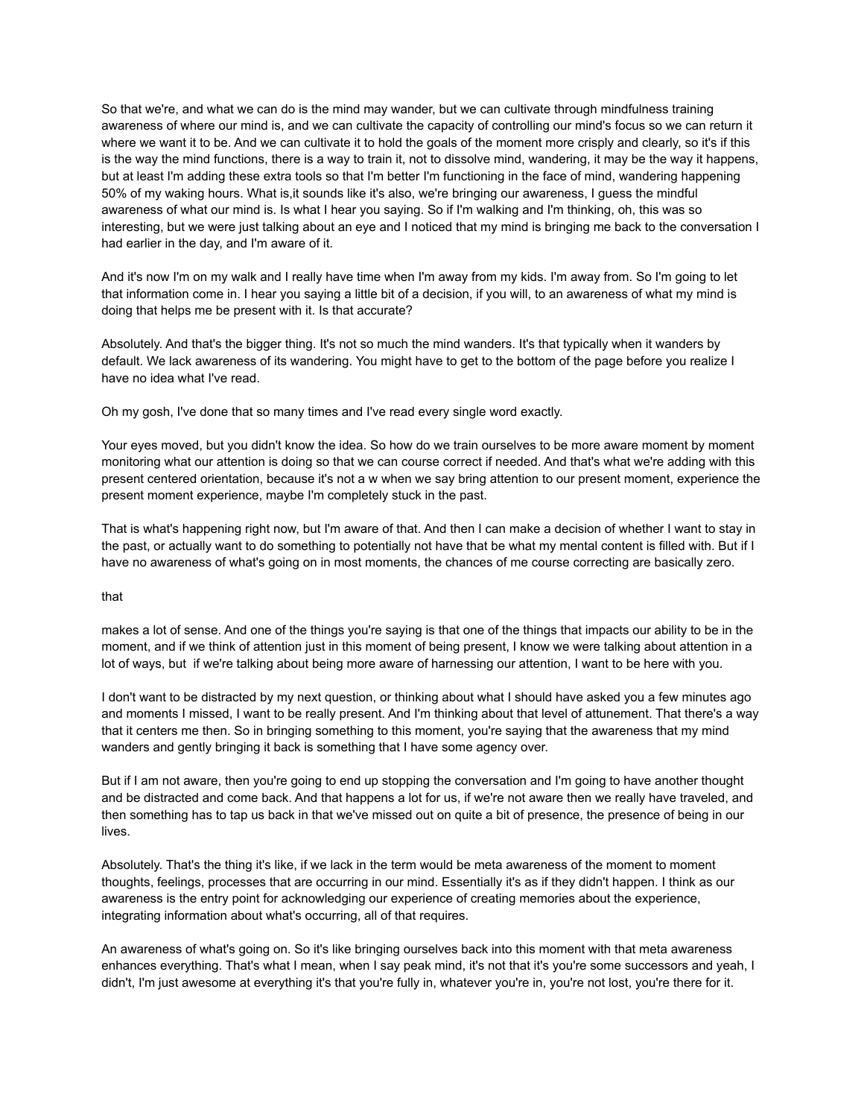So that we're, and what we can do is the mind may wander, but we can cultivate through mindfulness training awareness of where our mind is, and we can cultivate the capacity of controlling our mind's focus so we can return it where we want it to be. And we can cultivate it to hold the goals of the moment more crisply and clearly, so it's if this is the way the mind functions, there is a way to train it, not to dissolve mind, wandering, it may be the way it happens, but at least I'm adding these extra tools so that I'm better I'm functioning in the face of mind, wandering happening 50% of my waking hours. What is,it sounds like it's also, we're bringing our awareness, I guess the mindful awareness of what our mind is. Is what I hear you saying. So if I'm walking and I'm thinking, oh, this was so interesting, but we were just talking about an eye and I noticed that my mind is bringing me back to the conversation I had earlier in the day, and I'm aware of it.

And it's now I'm on my walk and I really have time when I'm away from my kids. I'm away from. So I'm going to let that information come in. I hear you saying a little bit of a decision, if you will, to an awareness of what my mind is doing that helps me be present with it. Is that accurate?

Absolutely. And that's the bigger thing. It's not so much the mind wanders. It's that typically when it wanders by default. We lack awareness of its wandering. You might have to get to the bottom of the page before you realize I have no idea what I've read.

Oh my gosh, I've done that so many times and I've read every single word exactly.

Your eyes moved, but you didn't know the idea. So how do we train ourselves to be more aware moment by moment monitoring what our attention is doing so that we can course correct if needed. And that's what we're adding with this present centered orientation, because it's not a w when we say bring attention to our present moment, experience the present moment experience, maybe I'm completely stuck in the past.

That is what's happening right now, but I'm aware of that. And then I can make a decision of whether I want to stay in the past, or actually want to do something to potentially not have that be what my mental content is filled with. But if I have no awareness of what's going on in most moments, the chances of me course correcting are basically zero.

## that

makes a lot of sense. And one of the things you're saying is that one of the things that impacts our ability to be in the moment, and if we think of attention just in this moment of being present, I know we were talking about attention in a lot of ways, but if we're talking about being more aware of harnessing our attention, I want to be here with you.

I don't want to be distracted by my next question, or thinking about what I should have asked you a few minutes ago and moments I missed, I want to be really present. And I'm thinking about that level of attunement. That there's a way that it centers me then. So in bringing something to this moment, you're saying that the awareness that my mind wanders and gently bringing it back is something that I have some agency over.

But if I am not aware, then you're going to end up stopping the conversation and I'm going to have another thought and be distracted and come back. And that happens a lot for us, if we're not aware then we really have traveled, and then something has to tap us back in that we've missed out on quite a bit of presence, the presence of being in our lives.

Absolutely. That's the thing it's like, if we lack in the term would be meta awareness of the moment to moment thoughts, feelings, processes that are occurring in our mind. Essentially it's as if they didn't happen. I think as our awareness is the entry point for acknowledging our experience of creating memories about the experience, integrating information about what's occurring, all of that requires.

An awareness of what's going on. So it's like bringing ourselves back into this moment with that meta awareness enhances everything. That's what I mean, when I say peak mind, it's not that it's you're some successors and yeah, I didn't, I'm just awesome at everything it's that you're fully in, whatever you're in, you're not lost, you're there for it.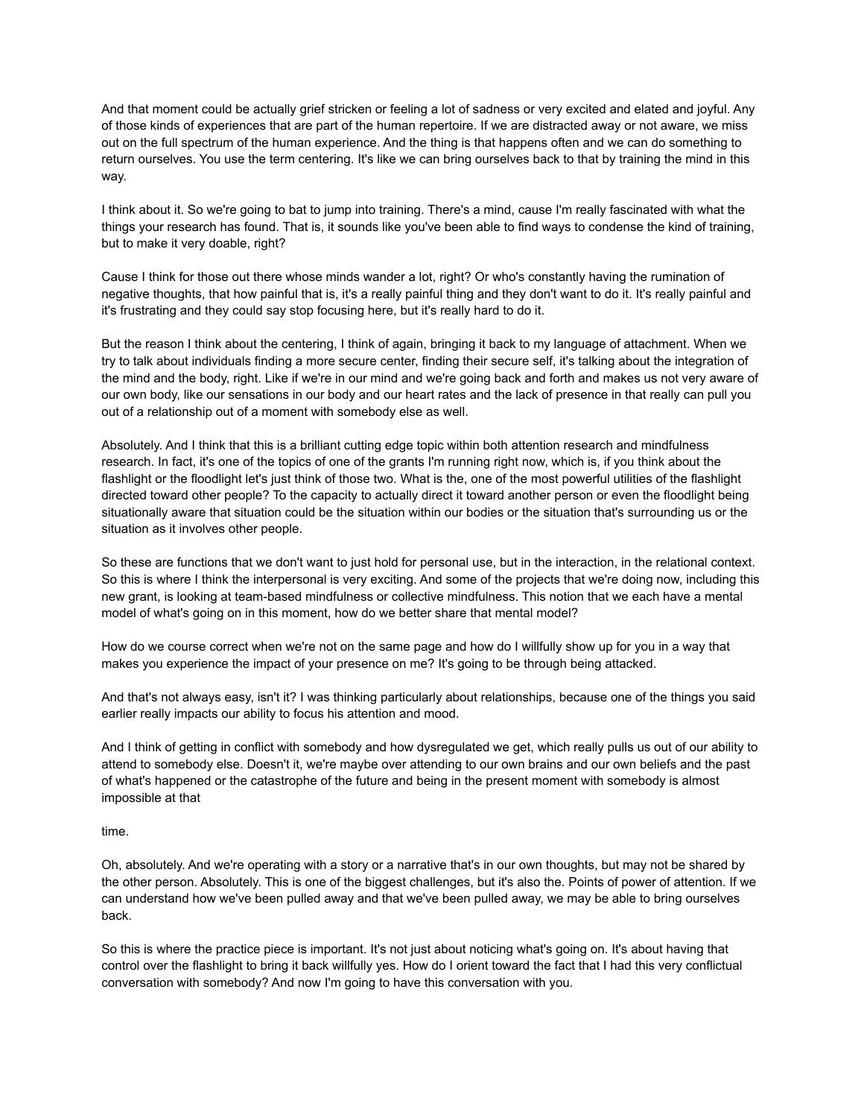And that moment could be actually grief stricken or feeling a lot of sadness or very excited and elated and joyful. Any of those kinds of experiences that are part of the human repertoire. If we are distracted away or not aware, we miss out on the full spectrum of the human experience. And the thing is that happens often and we can do something to return ourselves. You use the term centering. It's like we can bring ourselves back to that by training the mind in this way.

I think about it. So we're going to bat to jump into training. There's a mind, cause I'm really fascinated with what the things your research has found. That is, it sounds like you've been able to find ways to condense the kind of training, but to make it very doable, right?

Cause I think for those out there whose minds wander a lot, right? Or who's constantly having the rumination of negative thoughts, that how painful that is, it's a really painful thing and they don't want to do it. It's really painful and it's frustrating and they could say stop focusing here, but it's really hard to do it.

But the reason I think about the centering, I think of again, bringing it back to my language of attachment. When we try to talk about individuals finding a more secure center, finding their secure self, it's talking about the integration of the mind and the body, right. Like if we're in our mind and we're going back and forth and makes us not very aware of our own body, like our sensations in our body and our heart rates and the lack of presence in that really can pull you out of a relationship out of a moment with somebody else as well.

Absolutely. And I think that this is a brilliant cutting edge topic within both attention research and mindfulness research. In fact, it's one of the topics of one of the grants I'm running right now, which is, if you think about the flashlight or the floodlight let's just think of those two. What is the, one of the most powerful utilities of the flashlight directed toward other people? To the capacity to actually direct it toward another person or even the floodlight being situationally aware that situation could be the situation within our bodies or the situation that's surrounding us or the situation as it involves other people.

So these are functions that we don't want to just hold for personal use, but in the interaction, in the relational context. So this is where I think the interpersonal is very exciting. And some of the projects that we're doing now, including this new grant, is looking at team-based mindfulness or collective mindfulness. This notion that we each have a mental model of what's going on in this moment, how do we better share that mental model?

How do we course correct when we're not on the same page and how do I willfully show up for you in a way that makes you experience the impact of your presence on me? It's going to be through being attacked.

And that's not always easy, isn't it? I was thinking particularly about relationships, because one of the things you said earlier really impacts our ability to focus his attention and mood.

And I think of getting in conflict with somebody and how dysregulated we get, which really pulls us out of our ability to attend to somebody else. Doesn't it, we're maybe over attending to our own brains and our own beliefs and the past of what's happened or the catastrophe of the future and being in the present moment with somebody is almost impossible at that

## time.

Oh, absolutely. And we're operating with a story or a narrative that's in our own thoughts, but may not be shared by the other person. Absolutely. This is one of the biggest challenges, but it's also the. Points of power of attention. If we can understand how we've been pulled away and that we've been pulled away, we may be able to bring ourselves back.

So this is where the practice piece is important. It's not just about noticing what's going on. It's about having that control over the flashlight to bring it back willfully yes. How do I orient toward the fact that I had this very conflictual conversation with somebody? And now I'm going to have this conversation with you.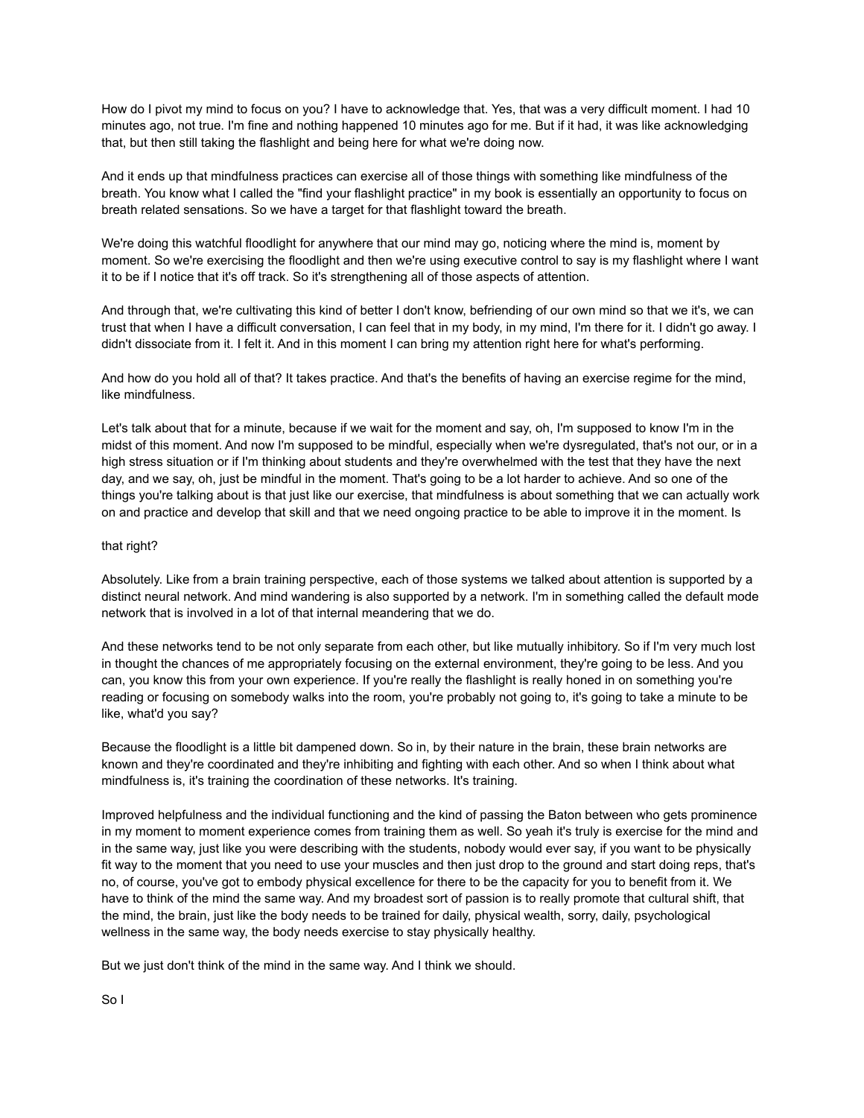How do I pivot my mind to focus on you? I have to acknowledge that. Yes, that was a very difficult moment. I had 10 minutes ago, not true. I'm fine and nothing happened 10 minutes ago for me. But if it had, it was like acknowledging that, but then still taking the flashlight and being here for what we're doing now.

And it ends up that mindfulness practices can exercise all of those things with something like mindfulness of the breath. You know what I called the "find your flashlight practice" in my book is essentially an opportunity to focus on breath related sensations. So we have a target for that flashlight toward the breath.

We're doing this watchful floodlight for anywhere that our mind may go, noticing where the mind is, moment by moment. So we're exercising the floodlight and then we're using executive control to say is my flashlight where I want it to be if I notice that it's off track. So it's strengthening all of those aspects of attention.

And through that, we're cultivating this kind of better I don't know, befriending of our own mind so that we it's, we can trust that when I have a difficult conversation, I can feel that in my body, in my mind, I'm there for it. I didn't go away. I didn't dissociate from it. I felt it. And in this moment I can bring my attention right here for what's performing.

And how do you hold all of that? It takes practice. And that's the benefits of having an exercise regime for the mind, like mindfulness.

Let's talk about that for a minute, because if we wait for the moment and say, oh, I'm supposed to know I'm in the midst of this moment. And now I'm supposed to be mindful, especially when we're dysregulated, that's not our, or in a high stress situation or if I'm thinking about students and they're overwhelmed with the test that they have the next day, and we say, oh, just be mindful in the moment. That's going to be a lot harder to achieve. And so one of the things you're talking about is that just like our exercise, that mindfulness is about something that we can actually work on and practice and develop that skill and that we need ongoing practice to be able to improve it in the moment. Is

## that right?

Absolutely. Like from a brain training perspective, each of those systems we talked about attention is supported by a distinct neural network. And mind wandering is also supported by a network. I'm in something called the default mode network that is involved in a lot of that internal meandering that we do.

And these networks tend to be not only separate from each other, but like mutually inhibitory. So if I'm very much lost in thought the chances of me appropriately focusing on the external environment, they're going to be less. And you can, you know this from your own experience. If you're really the flashlight is really honed in on something you're reading or focusing on somebody walks into the room, you're probably not going to, it's going to take a minute to be like, what'd you say?

Because the floodlight is a little bit dampened down. So in, by their nature in the brain, these brain networks are known and they're coordinated and they're inhibiting and fighting with each other. And so when I think about what mindfulness is, it's training the coordination of these networks. It's training.

Improved helpfulness and the individual functioning and the kind of passing the Baton between who gets prominence in my moment to moment experience comes from training them as well. So yeah it's truly is exercise for the mind and in the same way, just like you were describing with the students, nobody would ever say, if you want to be physically fit way to the moment that you need to use your muscles and then just drop to the ground and start doing reps, that's no, of course, you've got to embody physical excellence for there to be the capacity for you to benefit from it. We have to think of the mind the same way. And my broadest sort of passion is to really promote that cultural shift, that the mind, the brain, just like the body needs to be trained for daily, physical wealth, sorry, daily, psychological wellness in the same way, the body needs exercise to stay physically healthy.

But we just don't think of the mind in the same way. And I think we should.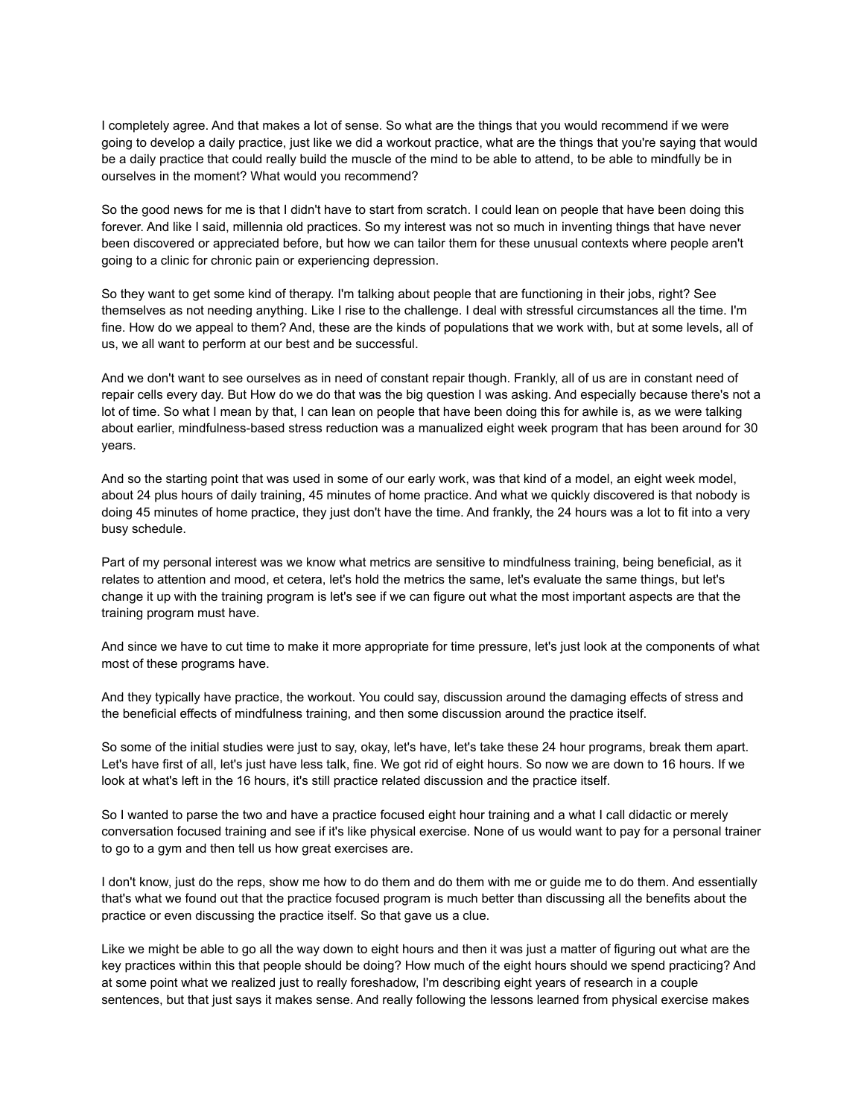I completely agree. And that makes a lot of sense. So what are the things that you would recommend if we were going to develop a daily practice, just like we did a workout practice, what are the things that you're saying that would be a daily practice that could really build the muscle of the mind to be able to attend, to be able to mindfully be in ourselves in the moment? What would you recommend?

So the good news for me is that I didn't have to start from scratch. I could lean on people that have been doing this forever. And like I said, millennia old practices. So my interest was not so much in inventing things that have never been discovered or appreciated before, but how we can tailor them for these unusual contexts where people aren't going to a clinic for chronic pain or experiencing depression.

So they want to get some kind of therapy. I'm talking about people that are functioning in their jobs, right? See themselves as not needing anything. Like I rise to the challenge. I deal with stressful circumstances all the time. I'm fine. How do we appeal to them? And, these are the kinds of populations that we work with, but at some levels, all of us, we all want to perform at our best and be successful.

And we don't want to see ourselves as in need of constant repair though. Frankly, all of us are in constant need of repair cells every day. But How do we do that was the big question I was asking. And especially because there's not a lot of time. So what I mean by that, I can lean on people that have been doing this for awhile is, as we were talking about earlier, mindfulness-based stress reduction was a manualized eight week program that has been around for 30 years.

And so the starting point that was used in some of our early work, was that kind of a model, an eight week model, about 24 plus hours of daily training, 45 minutes of home practice. And what we quickly discovered is that nobody is doing 45 minutes of home practice, they just don't have the time. And frankly, the 24 hours was a lot to fit into a very busy schedule.

Part of my personal interest was we know what metrics are sensitive to mindfulness training, being beneficial, as it relates to attention and mood, et cetera, let's hold the metrics the same, let's evaluate the same things, but let's change it up with the training program is let's see if we can figure out what the most important aspects are that the training program must have.

And since we have to cut time to make it more appropriate for time pressure, let's just look at the components of what most of these programs have.

And they typically have practice, the workout. You could say, discussion around the damaging effects of stress and the beneficial effects of mindfulness training, and then some discussion around the practice itself.

So some of the initial studies were just to say, okay, let's have, let's take these 24 hour programs, break them apart. Let's have first of all, let's just have less talk, fine. We got rid of eight hours. So now we are down to 16 hours. If we look at what's left in the 16 hours, it's still practice related discussion and the practice itself.

So I wanted to parse the two and have a practice focused eight hour training and a what I call didactic or merely conversation focused training and see if it's like physical exercise. None of us would want to pay for a personal trainer to go to a gym and then tell us how great exercises are.

I don't know, just do the reps, show me how to do them and do them with me or guide me to do them. And essentially that's what we found out that the practice focused program is much better than discussing all the benefits about the practice or even discussing the practice itself. So that gave us a clue.

Like we might be able to go all the way down to eight hours and then it was just a matter of figuring out what are the key practices within this that people should be doing? How much of the eight hours should we spend practicing? And at some point what we realized just to really foreshadow, I'm describing eight years of research in a couple sentences, but that just says it makes sense. And really following the lessons learned from physical exercise makes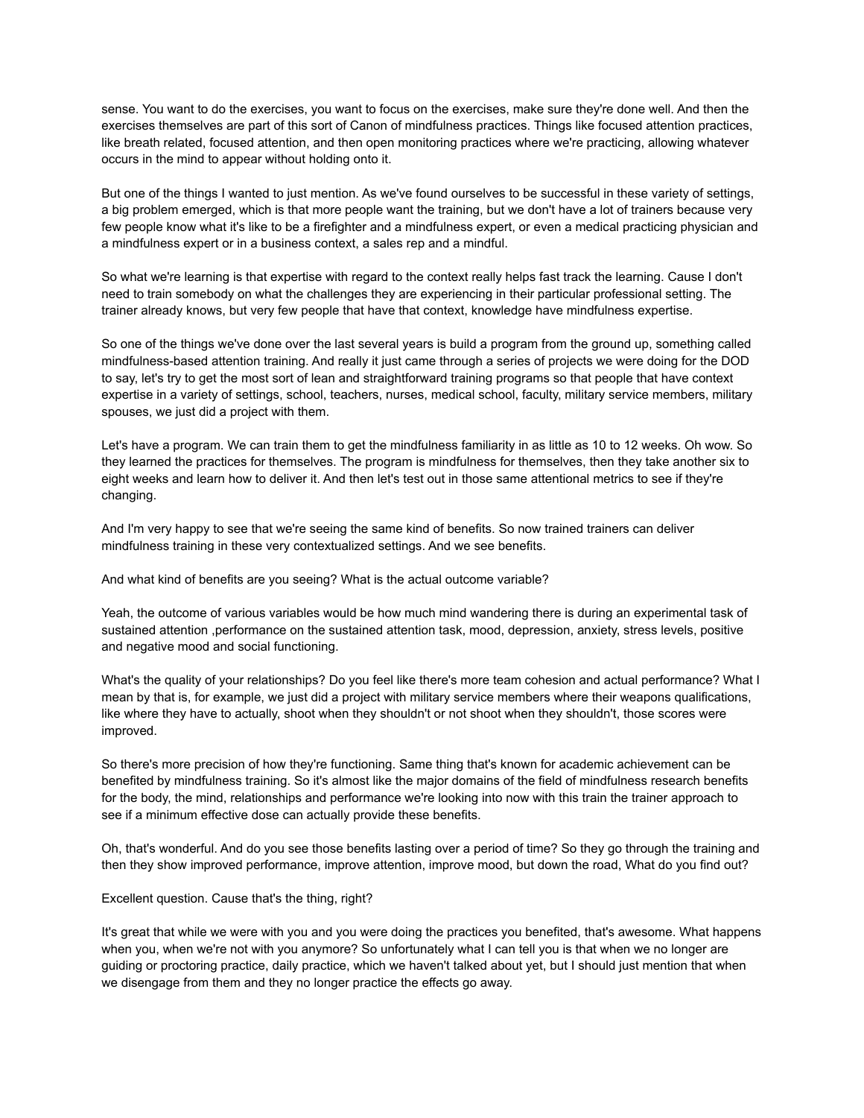sense. You want to do the exercises, you want to focus on the exercises, make sure they're done well. And then the exercises themselves are part of this sort of Canon of mindfulness practices. Things like focused attention practices, like breath related, focused attention, and then open monitoring practices where we're practicing, allowing whatever occurs in the mind to appear without holding onto it.

But one of the things I wanted to just mention. As we've found ourselves to be successful in these variety of settings, a big problem emerged, which is that more people want the training, but we don't have a lot of trainers because very few people know what it's like to be a firefighter and a mindfulness expert, or even a medical practicing physician and a mindfulness expert or in a business context, a sales rep and a mindful.

So what we're learning is that expertise with regard to the context really helps fast track the learning. Cause I don't need to train somebody on what the challenges they are experiencing in their particular professional setting. The trainer already knows, but very few people that have that context, knowledge have mindfulness expertise.

So one of the things we've done over the last several years is build a program from the ground up, something called mindfulness-based attention training. And really it just came through a series of projects we were doing for the DOD to say, let's try to get the most sort of lean and straightforward training programs so that people that have context expertise in a variety of settings, school, teachers, nurses, medical school, faculty, military service members, military spouses, we just did a project with them.

Let's have a program. We can train them to get the mindfulness familiarity in as little as 10 to 12 weeks. Oh wow. So they learned the practices for themselves. The program is mindfulness for themselves, then they take another six to eight weeks and learn how to deliver it. And then let's test out in those same attentional metrics to see if they're changing.

And I'm very happy to see that we're seeing the same kind of benefits. So now trained trainers can deliver mindfulness training in these very contextualized settings. And we see benefits.

And what kind of benefits are you seeing? What is the actual outcome variable?

Yeah, the outcome of various variables would be how much mind wandering there is during an experimental task of sustained attention ,performance on the sustained attention task, mood, depression, anxiety, stress levels, positive and negative mood and social functioning.

What's the quality of your relationships? Do you feel like there's more team cohesion and actual performance? What I mean by that is, for example, we just did a project with military service members where their weapons qualifications, like where they have to actually, shoot when they shouldn't or not shoot when they shouldn't, those scores were improved.

So there's more precision of how they're functioning. Same thing that's known for academic achievement can be benefited by mindfulness training. So it's almost like the major domains of the field of mindfulness research benefits for the body, the mind, relationships and performance we're looking into now with this train the trainer approach to see if a minimum effective dose can actually provide these benefits.

Oh, that's wonderful. And do you see those benefits lasting over a period of time? So they go through the training and then they show improved performance, improve attention, improve mood, but down the road, What do you find out?

Excellent question. Cause that's the thing, right?

It's great that while we were with you and you were doing the practices you benefited, that's awesome. What happens when you, when we're not with you anymore? So unfortunately what I can tell you is that when we no longer are guiding or proctoring practice, daily practice, which we haven't talked about yet, but I should just mention that when we disengage from them and they no longer practice the effects go away.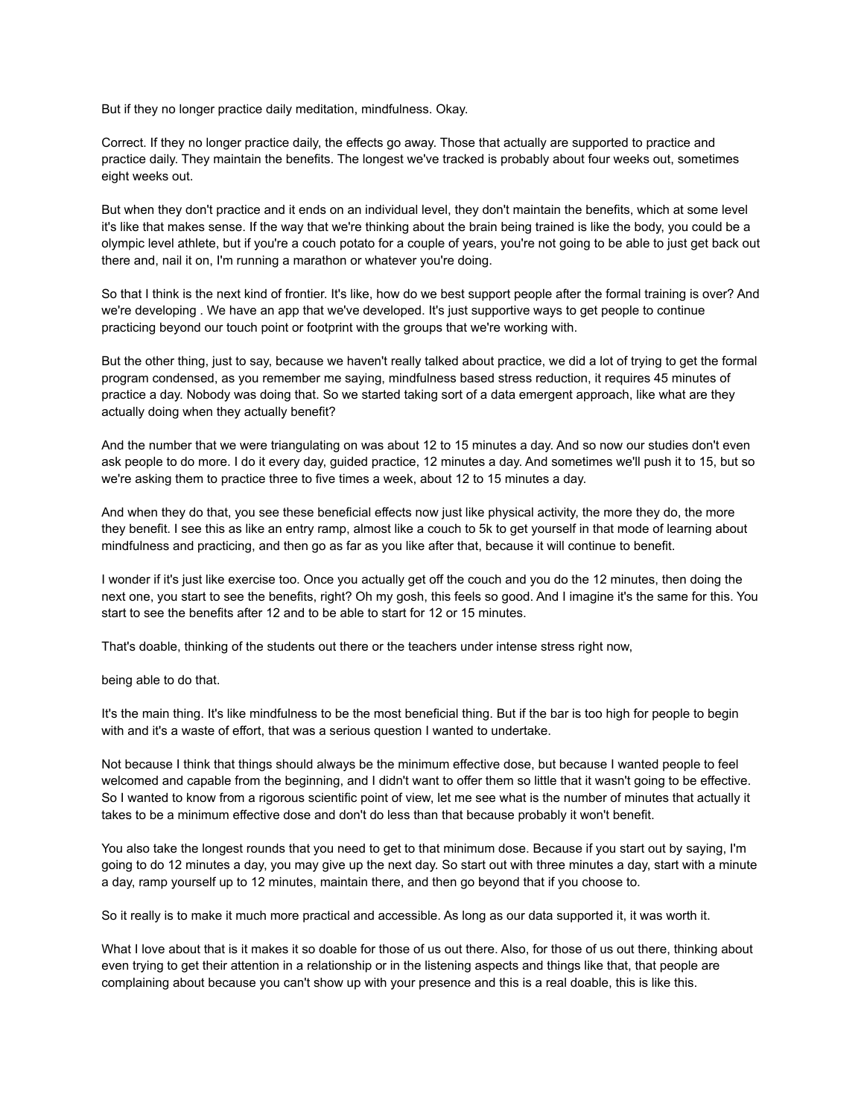But if they no longer practice daily meditation, mindfulness. Okay.

Correct. If they no longer practice daily, the effects go away. Those that actually are supported to practice and practice daily. They maintain the benefits. The longest we've tracked is probably about four weeks out, sometimes eight weeks out.

But when they don't practice and it ends on an individual level, they don't maintain the benefits, which at some level it's like that makes sense. If the way that we're thinking about the brain being trained is like the body, you could be a olympic level athlete, but if you're a couch potato for a couple of years, you're not going to be able to just get back out there and, nail it on, I'm running a marathon or whatever you're doing.

So that I think is the next kind of frontier. It's like, how do we best support people after the formal training is over? And we're developing . We have an app that we've developed. It's just supportive ways to get people to continue practicing beyond our touch point or footprint with the groups that we're working with.

But the other thing, just to say, because we haven't really talked about practice, we did a lot of trying to get the formal program condensed, as you remember me saying, mindfulness based stress reduction, it requires 45 minutes of practice a day. Nobody was doing that. So we started taking sort of a data emergent approach, like what are they actually doing when they actually benefit?

And the number that we were triangulating on was about 12 to 15 minutes a day. And so now our studies don't even ask people to do more. I do it every day, guided practice, 12 minutes a day. And sometimes we'll push it to 15, but so we're asking them to practice three to five times a week, about 12 to 15 minutes a day.

And when they do that, you see these beneficial effects now just like physical activity, the more they do, the more they benefit. I see this as like an entry ramp, almost like a couch to 5k to get yourself in that mode of learning about mindfulness and practicing, and then go as far as you like after that, because it will continue to benefit.

I wonder if it's just like exercise too. Once you actually get off the couch and you do the 12 minutes, then doing the next one, you start to see the benefits, right? Oh my gosh, this feels so good. And I imagine it's the same for this. You start to see the benefits after 12 and to be able to start for 12 or 15 minutes.

That's doable, thinking of the students out there or the teachers under intense stress right now,

being able to do that.

It's the main thing. It's like mindfulness to be the most beneficial thing. But if the bar is too high for people to begin with and it's a waste of effort, that was a serious question I wanted to undertake.

Not because I think that things should always be the minimum effective dose, but because I wanted people to feel welcomed and capable from the beginning, and I didn't want to offer them so little that it wasn't going to be effective. So I wanted to know from a rigorous scientific point of view, let me see what is the number of minutes that actually it takes to be a minimum effective dose and don't do less than that because probably it won't benefit.

You also take the longest rounds that you need to get to that minimum dose. Because if you start out by saying, I'm going to do 12 minutes a day, you may give up the next day. So start out with three minutes a day, start with a minute a day, ramp yourself up to 12 minutes, maintain there, and then go beyond that if you choose to.

So it really is to make it much more practical and accessible. As long as our data supported it, it was worth it.

What I love about that is it makes it so doable for those of us out there. Also, for those of us out there, thinking about even trying to get their attention in a relationship or in the listening aspects and things like that, that people are complaining about because you can't show up with your presence and this is a real doable, this is like this.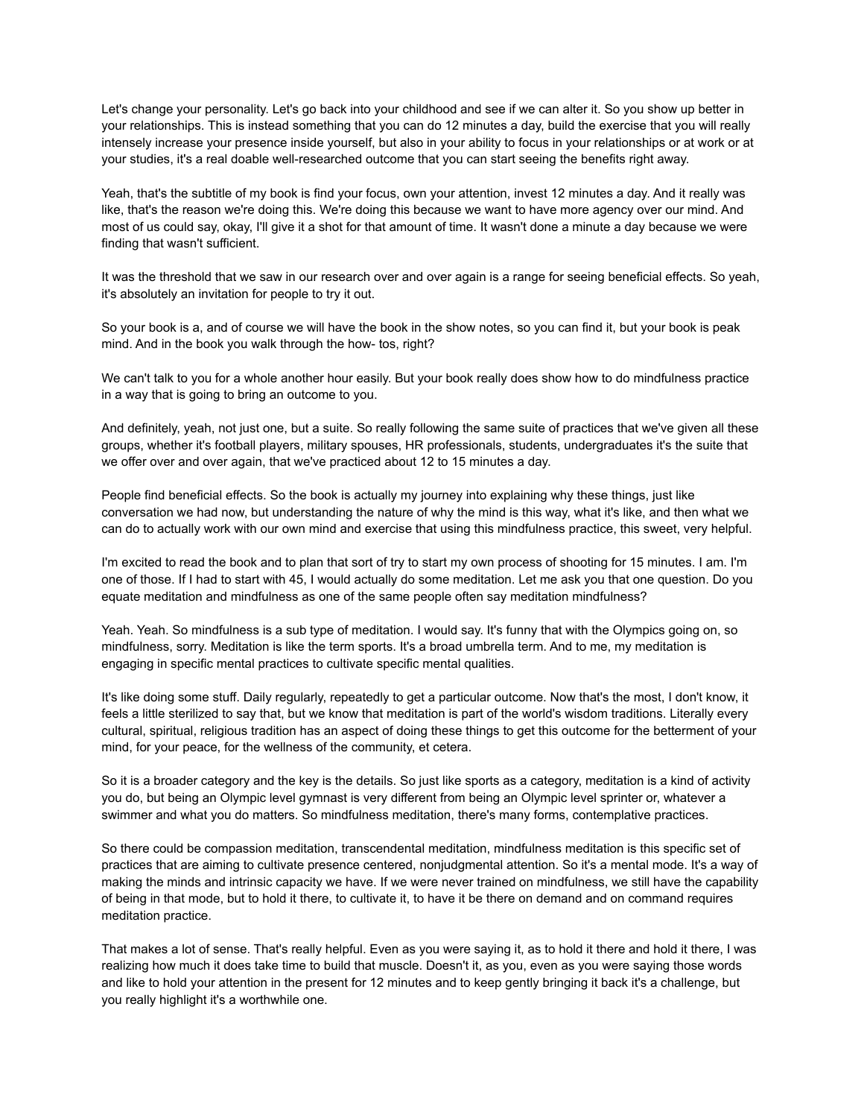Let's change your personality. Let's go back into your childhood and see if we can alter it. So you show up better in your relationships. This is instead something that you can do 12 minutes a day, build the exercise that you will really intensely increase your presence inside yourself, but also in your ability to focus in your relationships or at work or at your studies, it's a real doable well-researched outcome that you can start seeing the benefits right away.

Yeah, that's the subtitle of my book is find your focus, own your attention, invest 12 minutes a day. And it really was like, that's the reason we're doing this. We're doing this because we want to have more agency over our mind. And most of us could say, okay, I'll give it a shot for that amount of time. It wasn't done a minute a day because we were finding that wasn't sufficient.

It was the threshold that we saw in our research over and over again is a range for seeing beneficial effects. So yeah, it's absolutely an invitation for people to try it out.

So your book is a, and of course we will have the book in the show notes, so you can find it, but your book is peak mind. And in the book you walk through the how- tos, right?

We can't talk to you for a whole another hour easily. But your book really does show how to do mindfulness practice in a way that is going to bring an outcome to you.

And definitely, yeah, not just one, but a suite. So really following the same suite of practices that we've given all these groups, whether it's football players, military spouses, HR professionals, students, undergraduates it's the suite that we offer over and over again, that we've practiced about 12 to 15 minutes a day.

People find beneficial effects. So the book is actually my journey into explaining why these things, just like conversation we had now, but understanding the nature of why the mind is this way, what it's like, and then what we can do to actually work with our own mind and exercise that using this mindfulness practice, this sweet, very helpful.

I'm excited to read the book and to plan that sort of try to start my own process of shooting for 15 minutes. I am. I'm one of those. If I had to start with 45, I would actually do some meditation. Let me ask you that one question. Do you equate meditation and mindfulness as one of the same people often say meditation mindfulness?

Yeah. Yeah. So mindfulness is a sub type of meditation. I would say. It's funny that with the Olympics going on, so mindfulness, sorry. Meditation is like the term sports. It's a broad umbrella term. And to me, my meditation is engaging in specific mental practices to cultivate specific mental qualities.

It's like doing some stuff. Daily regularly, repeatedly to get a particular outcome. Now that's the most, I don't know, it feels a little sterilized to say that, but we know that meditation is part of the world's wisdom traditions. Literally every cultural, spiritual, religious tradition has an aspect of doing these things to get this outcome for the betterment of your mind, for your peace, for the wellness of the community, et cetera.

So it is a broader category and the key is the details. So just like sports as a category, meditation is a kind of activity you do, but being an Olympic level gymnast is very different from being an Olympic level sprinter or, whatever a swimmer and what you do matters. So mindfulness meditation, there's many forms, contemplative practices.

So there could be compassion meditation, transcendental meditation, mindfulness meditation is this specific set of practices that are aiming to cultivate presence centered, nonjudgmental attention. So it's a mental mode. It's a way of making the minds and intrinsic capacity we have. If we were never trained on mindfulness, we still have the capability of being in that mode, but to hold it there, to cultivate it, to have it be there on demand and on command requires meditation practice.

That makes a lot of sense. That's really helpful. Even as you were saying it, as to hold it there and hold it there, I was realizing how much it does take time to build that muscle. Doesn't it, as you, even as you were saying those words and like to hold your attention in the present for 12 minutes and to keep gently bringing it back it's a challenge, but you really highlight it's a worthwhile one.